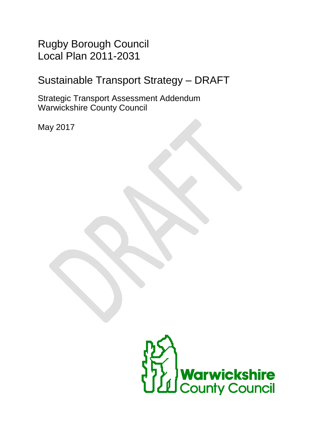Rugby Borough Council Local Plan 2011-2031

# Sustainable Transport Strategy – DRAFT

Strategic Transport Assessment Addendum Warwickshire County Council

May 2017

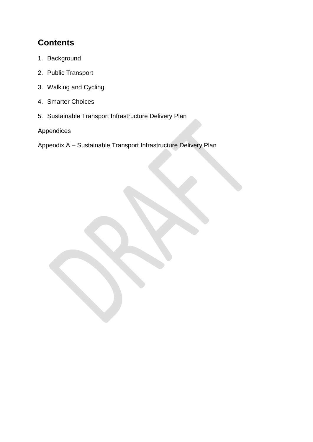## **Contents**

- 1. Background
- 2. Public Transport
- 3. Walking and Cycling
- 4. Smarter Choices
- 5. Sustainable Transport Infrastructure Delivery Plan

Appendices

Appendix A – Sustainable Transport Infrastructure Delivery Plan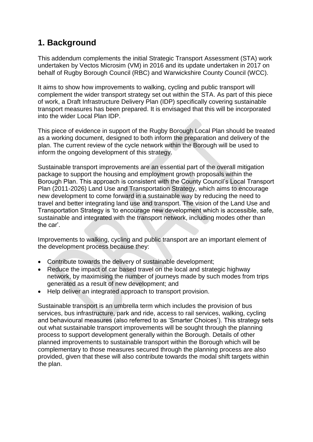## **1. Background**

This addendum complements the initial Strategic Transport Assessment (STA) work undertaken by Vectos Microsim (VM) in 2016 and its update undertaken in 2017 on behalf of Rugby Borough Council (RBC) and Warwickshire County Council (WCC).

It aims to show how improvements to walking, cycling and public transport will complement the wider transport strategy set out within the STA. As part of this piece of work, a Draft Infrastructure Delivery Plan (IDP) specifically covering sustainable transport measures has been prepared. It is envisaged that this will be incorporated into the wider Local Plan IDP.

This piece of evidence in support of the Rugby Borough Local Plan should be treated as a working document, designed to both inform the preparation and delivery of the plan. The current review of the cycle network within the Borough will be used to inform the ongoing development of this strategy.

Sustainable transport improvements are an essential part of the overall mitigation package to support the housing and employment growth proposals within the Borough Plan. This approach is consistent with the County Council's Local Transport Plan (2011-2026) Land Use and Transportation Strategy, which aims to encourage new development to come forward in a sustainable way by reducing the need to travel and better integrating land use and transport. The vision of the Land Use and Transportation Strategy is 'to encourage new development which is accessible, safe, sustainable and integrated with the transport network, including modes other than the car'.

Improvements to walking, cycling and public transport are an important element of the development process because they:

- Contribute towards the delivery of sustainable development;
- Reduce the impact of car based travel on the local and strategic highway network, by maximising the number of journeys made by such modes from trips generated as a result of new development; and
- Help deliver an integrated approach to transport provision.

Sustainable transport is an umbrella term which includes the provision of bus services, bus infrastructure, park and ride, access to rail services, walking, cycling and behavioural measures (also referred to as 'Smarter Choices'). This strategy sets out what sustainable transport improvements will be sought through the planning process to support development generally within the Borough. Details of other planned improvements to sustainable transport within the Borough which will be complementary to those measures secured through the planning process are also provided, given that these will also contribute towards the modal shift targets within the plan.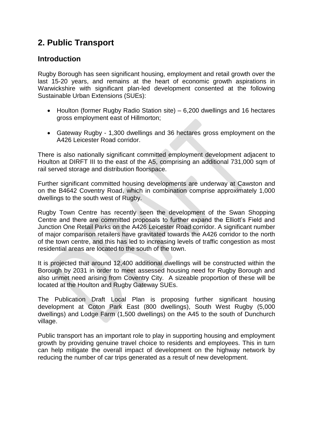## **2. Public Transport**

### **Introduction**

Rugby Borough has seen significant housing, employment and retail growth over the last 15-20 years, and remains at the heart of economic growth aspirations in Warwickshire with significant plan-led development consented at the following Sustainable Urban Extensions (SUEs):

- Houlton (former Rugby Radio Station site) 6,200 dwellings and 16 hectares gross employment east of Hillmorton;
- Gateway Rugby 1,300 dwellings and 36 hectares gross employment on the A426 Leicester Road corridor.

There is also nationally significant committed employment development adjacent to Houlton at DIRFT III to the east of the A5, comprising an additional 731,000 sqm of rail served storage and distribution floorspace.

Further significant committed housing developments are underway at Cawston and on the B4642 Coventry Road, which in combination comprise approximately 1,000 dwellings to the south west of Rugby.

Rugby Town Centre has recently seen the development of the Swan Shopping Centre and there are committed proposals to further expand the Elliott's Field and Junction One Retail Parks on the A426 Leicester Road corridor. A significant number of major comparison retailers have gravitated towards the A426 corridor to the north of the town centre, and this has led to increasing levels of traffic congestion as most residential areas are located to the south of the town.

It is projected that around 12,400 additional dwellings will be constructed within the Borough by 2031 in order to meet assessed housing need for Rugby Borough and also unmet need arising from Coventry City. A sizeable proportion of these will be located at the Houlton and Rugby Gateway SUEs.

The Publication Draft Local Plan is proposing further significant housing development at Coton Park East (800 dwellings), South West Rugby (5,000 dwellings) and Lodge Farm (1,500 dwellings) on the A45 to the south of Dunchurch village.

Public transport has an important role to play in supporting housing and employment growth by providing genuine travel choice to residents and employees. This in turn can help mitigate the overall impact of development on the highway network by reducing the number of car trips generated as a result of new development.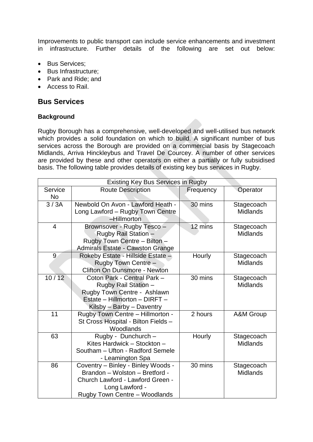Improvements to public transport can include service enhancements and investment in infrastructure. Further details of the following are set out below:

- Bus Services:
- Bus Infrastructure;
- Park and Ride: and
- Access to Rail.

### **Bus Services**

#### **Background**

Rugby Borough has a comprehensive, well-developed and well-utilised bus network which provides a solid foundation on which to build. A significant number of bus services across the Borough are provided on a commercial basis by Stagecoach Midlands, Arriva Hinckleybus and Travel De Courcey. A number of other services are provided by these and other operators on either a partially or fully subsidised basis. The following table provides details of existing key bus services in Rugby.

| Existing Key Bus Services in Rugby |                                                                                                                                                             |                                          |                               |  |  |  |  |  |
|------------------------------------|-------------------------------------------------------------------------------------------------------------------------------------------------------------|------------------------------------------|-------------------------------|--|--|--|--|--|
| Service<br><b>No</b>               | <b>Route Description</b>                                                                                                                                    | Frequency                                | Operator                      |  |  |  |  |  |
| 3/3A                               | Newbold On Avon - Lawford Heath -<br>Long Lawford - Rugby Town Centre<br>-Hillmorton                                                                        | 30 mins<br>Stagecoach<br><b>Midlands</b> |                               |  |  |  |  |  |
| 4                                  | Brownsover - Rugby Tesco -<br><b>Rugby Rail Station -</b><br>Rugby Town Centre - Bilton -<br>Admirals Estate - Cawston Grange                               | 12 mins                                  | Stagecoach<br><b>Midlands</b> |  |  |  |  |  |
| 9                                  | Rokeby Estate - Hillside Estate -<br>Rugby Town Centre -<br>Clifton On Dunsmore - Newton                                                                    | Hourly                                   | Stagecoach<br><b>Midlands</b> |  |  |  |  |  |
| 10/12                              | Coton Park - Central Park -<br>Rugby Rail Station -<br>Rugby Town Centre - Ashlawn<br>Estate - Hillmorton - DIRFT -<br>Kilsby - Barby - Daventry            | 30 mins                                  | Stagecoach<br><b>Midlands</b> |  |  |  |  |  |
| 11                                 | Rugby Town Centre - Hillmorton -<br>St Cross Hospital - Bilton Fields -<br>Woodlands                                                                        | 2 hours                                  | <b>A&amp;M Group</b>          |  |  |  |  |  |
| 63                                 | Rugby - Dunchurch -<br>Kites Hardwick - Stockton -<br>Southam - Ufton - Radford Semele<br>- Leamington Spa                                                  | Hourly                                   | Stagecoach<br><b>Midlands</b> |  |  |  |  |  |
| 86                                 | Coventry - Binley - Binley Woods -<br>Brandon - Wolston - Bretford -<br>Church Lawford - Lawford Green -<br>Long Lawford -<br>Rugby Town Centre - Woodlands | 30 mins                                  | Stagecoach<br><b>Midlands</b> |  |  |  |  |  |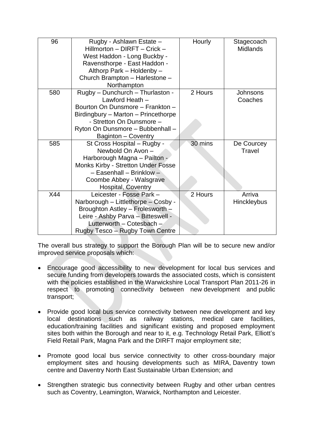| 96  | Rugby - Ashlawn Estate -<br>Hillmorton - DIRFT - Crick -<br>West Haddon - Long Buckby -<br>Ravensthorpe - East Haddon -<br>Althorp Park - Holdenby -<br>Church Brampton - Harlestone -<br>Northampton                 | Hourly  | Stagecoach<br><b>Midlands</b> |
|-----|-----------------------------------------------------------------------------------------------------------------------------------------------------------------------------------------------------------------------|---------|-------------------------------|
| 580 | Rugby - Dunchurch - Thurlaston -<br>Lawford Heath -<br>Bourton On Dunsmore - Frankton -<br>Birdingbury - Marton - Princethorpe<br>- Stretton On Dunsmore -<br>Ryton On Dunsmore - Bubbenhall -<br>Baginton - Coventry | 2 Hours | Johnsons<br>Coaches           |
| 585 | St Cross Hospital - Rugby -<br>Newbold On Avon -<br>Harborough Magna - Pailton -<br><b>Monks Kirby - Stretton Under Fosse</b><br>- Easenhall - Brinklow -<br>Coombe Abbey - Walsgrave<br>Hospital, Coventry           | 30 mins | De Courcey<br>Travel          |
| X44 | Leicester - Fosse Park -<br>Narborough - Littlethorpe - Cosby -<br>Broughton Astley - Frolesworth -<br>Leire - Ashby Parva - Bitteswell -<br>Lutterworth - Cotesbach -<br>Rugby Tesco - Rugby Town Centre             | 2 Hours | Arriva<br>Hinckleybus         |

The overall bus strategy to support the Borough Plan will be to secure new and/or improved service proposals which:

- Encourage good accessibility to new development for local bus services and secure funding from developers towards the associated costs, which is consistent with the policies established in the Warwickshire Local Transport Plan 2011-26 in respect to promoting connectivity between new development and public transport;
- Provide good local bus service connectivity between new development and key local destinations such as railway stations, medical care facilities, education/training facilities and significant existing and proposed employment sites both within the Borough and near to it, e.g. Technology Retail Park, Elliott's Field Retail Park, Magna Park and the DIRFT major employment site;
- Promote good local bus service connectivity to other cross-boundary major employment sites and housing developments such as MIRA, Daventry town centre and Daventry North East Sustainable Urban Extension; and
- Strengthen strategic bus connectivity between Rugby and other urban centres such as Coventry, Leamington, Warwick, Northampton and Leicester.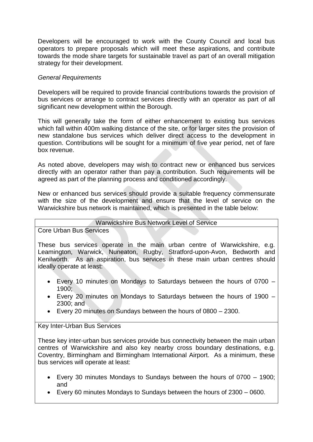Developers will be encouraged to work with the County Council and local bus operators to prepare proposals which will meet these aspirations, and contribute towards the mode share targets for sustainable travel as part of an overall mitigation strategy for their development.

#### *General Requirements*

Developers will be required to provide financial contributions towards the provision of bus services or arrange to contract services directly with an operator as part of all significant new development within the Borough.

This will generally take the form of either enhancement to existing bus services which fall within 400m walking distance of the site, or for larger sites the provision of new standalone bus services which deliver direct access to the development in question. Contributions will be sought for a minimum of five year period, net of fare box revenue.

As noted above, developers may wish to contract new or enhanced bus services directly with an operator rather than pay a contribution. Such requirements will be agreed as part of the planning process and conditioned accordingly.

New or enhanced bus services should provide a suitable frequency commensurate with the size of the development and ensure that the level of service on the Warwickshire bus network is maintained, which is presented in the table below:

#### Warwickshire Bus Network Level of Service

Core Urban Bus Services

These bus services operate in the main urban centre of Warwickshire, e.g. Leamington, Warwick, Nuneaton, Rugby, Stratford-upon-Avon, Bedworth and Kenilworth. As an aspiration, bus services in these main urban centres should ideally operate at least:

- Every 10 minutes on Mondays to Saturdays between the hours of 0700 1900;
- Every 20 minutes on Mondays to Saturdays between the hours of 1900 2300; and
- Every 20 minutes on Sundays between the hours of 0800 2300.

#### Key Inter-Urban Bus Services

These key inter-urban bus services provide bus connectivity between the main urban centres of Warwickshire and also key nearby cross boundary destinations, e.g. Coventry, Birmingham and Birmingham International Airport. As a minimum, these bus services will operate at least:

- Every 30 minutes Mondays to Sundays between the hours of 0700 1900; and
- Every 60 minutes Mondays to Sundays between the hours of 2300 0600.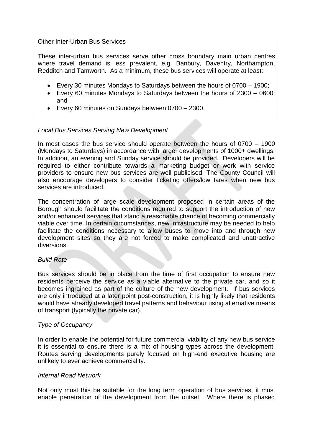#### Other Inter-Urban Bus Services

These inter-urban bus services serve other cross boundary main urban centres where travel demand is less prevalent, e.g. Banbury, Daventry, Northampton, Redditch and Tamworth. As a minimum, these bus services will operate at least:

- Every 30 minutes Mondays to Saturdays between the hours of 0700 1900;
- Every 60 minutes Mondays to Saturdays between the hours of 2300 0600; and
- Every 60 minutes on Sundays between 0700 2300.

#### *Local Bus Services Serving New Development*

In most cases the bus service should operate between the hours of 0700 – 1900 (Mondays to Saturdays) in accordance with larger developments of 1000+ dwellings. In addition, an evening and Sunday service should be provided. Developers will be required to either contribute towards a marketing budget or work with service providers to ensure new bus services are well publicised. The County Council will also encourage developers to consider ticketing offers/low fares when new bus services are introduced.

The concentration of large scale development proposed in certain areas of the Borough should facilitate the conditions required to support the introduction of new and/or enhanced services that stand a reasonable chance of becoming commercially viable over time. In certain circumstances, new infrastructure may be needed to help facilitate the conditions necessary to allow buses to move into and through new development sites so they are not forced to make complicated and unattractive diversions.

#### *Build Rate*

Bus services should be in place from the time of first occupation to ensure new residents perceive the service as a viable alternative to the private car, and so it becomes ingrained as part of the culture of the new development. If bus services are only introduced at a later point post-construction, it is highly likely that residents would have already developed travel patterns and behaviour using alternative means of transport (typically the private car).

#### *Type of Occupancy*

In order to enable the potential for future commercial viability of any new bus service it is essential to ensure there is a mix of housing types across the development. Routes serving developments purely focused on high-end executive housing are unlikely to ever achieve commerciality.

#### *Internal Road Network*

Not only must this be suitable for the long term operation of bus services, it must enable penetration of the development from the outset. Where there is phased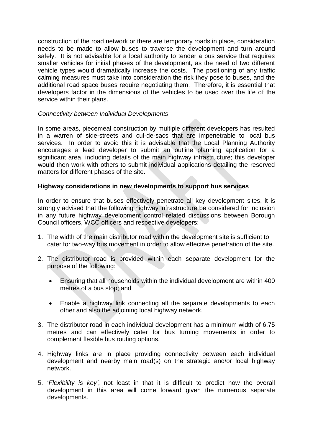construction of the road network or there are temporary roads in place, consideration needs to be made to allow buses to traverse the development and turn around safely. It is not advisable for a local authority to tender a bus service that requires smaller vehicles for initial phases of the development, as the need of two different vehicle types would dramatically increase the costs. The positioning of any traffic calming measures must take into consideration the risk they pose to buses, and the additional road space buses require negotiating them. Therefore, it is essential that developers factor in the dimensions of the vehicles to be used over the life of the service within their plans.

#### *Connectivity between Individual Developments*

In some areas, piecemeal construction by multiple different developers has resulted in a warren of side-streets and cul-de-sacs that are impenetrable to local bus services. In order to avoid this it is advisable that the Local Planning Authority encourages a lead developer to submit an outline planning application for a significant area, including details of the main highway infrastructure; this developer would then work with others to submit individual applications detailing the reserved matters for different phases of the site.

#### **Highway considerations in new developments to support bus services**

In order to ensure that buses effectively penetrate all key development sites, it is strongly advised that the following highway infrastructure be considered for inclusion in any future highway development control related discussions between Borough Council officers, WCC officers and respective developers:

- 1. The width of the main distributor road within the development site is sufficient to cater for two-way bus movement in order to allow effective penetration of the site.
- 2. The distributor road is provided within each separate development for the purpose of the following:
	- Ensuring that all households within the individual development are within 400 metres of a bus stop; and
	- Enable a highway link connecting all the separate developments to each other and also the adjoining local highway network.
- 3. The distributor road in each individual development has a minimum width of 6.75 metres and can effectively cater for bus turning movements in order to complement flexible bus routing options.
- 4. Highway links are in place providing connectivity between each individual development and nearby main road(s) on the strategic and/or local highway network.
- 5. '*Flexibility is key'*, not least in that it is difficult to predict how the overall development in this area will come forward given the numerous separate developments.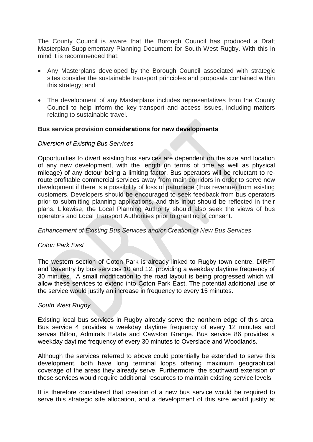The County Council is aware that the Borough Council has produced a Draft Masterplan Supplementary Planning Document for South West Rugby. With this in mind it is recommended that:

- Any Masterplans developed by the Borough Council associated with strategic sites consider the sustainable transport principles and proposals contained within this strategy; and
- The development of any Masterplans includes representatives from the County Council to help inform the key transport and access issues, including matters relating to sustainable travel.

#### **Bus service provision considerations for new developments**

#### *Diversion of Existing Bus Services*

Opportunities to divert existing bus services are dependent on the size and location of any new development, with the length (in terms of time as well as physical mileage) of any detour being a limiting factor. Bus operators will be reluctant to reroute profitable commercial services away from main corridors in order to serve new development if there is a possibility of loss of patronage (thus revenue) from existing customers. Developers should be encouraged to seek feedback from bus operators prior to submitting planning applications, and this input should be reflected in their plans. Likewise, the Local Planning Authority should also seek the views of bus operators and Local Transport Authorities prior to granting of consent.

#### *Enhancement of Existing Bus Services and/or Creation of New Bus Services*

#### *Coton Park East*

The western section of Coton Park is already linked to Rugby town centre, DIRFT and Daventry by bus services 10 and 12, providing a weekday daytime frequency of 30 minutes. A small modification to the road layout is being progressed which will allow these services to extend into Coton Park East. The potential additional use of the service would justify an increase in frequency to every 15 minutes.

#### *South West Rugby*

Existing local bus services in Rugby already serve the northern edge of this area. Bus service 4 provides a weekday daytime frequency of every 12 minutes and serves Bilton, Admirals Estate and Cawston Grange. Bus service 86 provides a weekday daytime frequency of every 30 minutes to Overslade and Woodlands.

Although the services referred to above could potentially be extended to serve this development, both have long terminal loops offering maximum geographical coverage of the areas they already serve. Furthermore, the southward extension of these services would require additional resources to maintain existing service levels.

It is therefore considered that creation of a new bus service would be required to serve this strategic site allocation, and a development of this size would justify at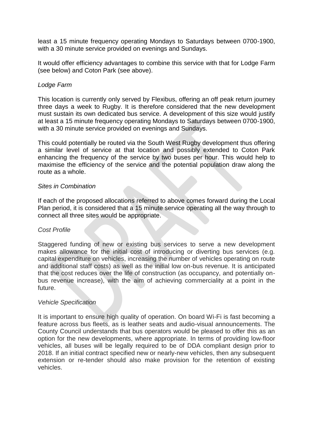least a 15 minute frequency operating Mondays to Saturdays between 0700-1900, with a 30 minute service provided on evenings and Sundays.

It would offer efficiency advantages to combine this service with that for Lodge Farm (see below) and Coton Park (see above).

#### *Lodge Farm*

This location is currently only served by Flexibus, offering an off peak return journey three days a week to Rugby. It is therefore considered that the new development must sustain its own dedicated bus service. A development of this size would justify at least a 15 minute frequency operating Mondays to Saturdays between 0700-1900, with a 30 minute service provided on evenings and Sundays.

This could potentially be routed via the South West Rugby development thus offering a similar level of service at that location and possibly extended to Coton Park enhancing the frequency of the service by two buses per hour. This would help to maximise the efficiency of the service and the potential population draw along the route as a whole.

#### *Sites in Combination*

If each of the proposed allocations referred to above comes forward during the Local Plan period, it is considered that a 15 minute service operating all the way through to connect all three sites would be appropriate.

#### *Cost Profile*

Staggered funding of new or existing bus services to serve a new development makes allowance for the initial cost of introducing or diverting bus services (e.g. capital expenditure on vehicles, increasing the number of vehicles operating on route and additional staff costs) as well as the initial low on-bus revenue. It is anticipated that the cost reduces over the life of construction (as occupancy, and potentially onbus revenue increase), with the aim of achieving commerciality at a point in the future.

#### *Vehicle Specification*

It is important to ensure high quality of operation. On board Wi-Fi is fast becoming a feature across bus fleets, as is leather seats and audio-visual announcements. The County Council understands that bus operators would be pleased to offer this as an option for the new developments, where appropriate. In terms of providing low-floor vehicles, all buses will be legally required to be of DDA compliant design prior to 2018. If an initial contract specified new or nearly-new vehicles, then any subsequent extension or re-tender should also make provision for the retention of existing vehicles.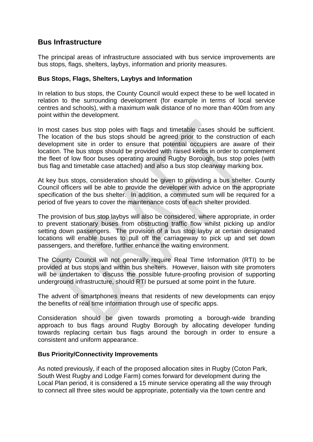### **Bus Infrastructure**

The principal areas of infrastructure associated with bus service improvements are bus stops, flags, shelters, laybys, information and priority measures.

#### **Bus Stops, Flags, Shelters, Laybys and Information**

In relation to bus stops, the County Council would expect these to be well located in relation to the surrounding development (for example in terms of local service centres and schools), with a maximum walk distance of no more than 400m from any point within the development.

In most cases bus stop poles with flags and timetable cases should be sufficient. The location of the bus stops should be agreed prior to the construction of each development site in order to ensure that potential occupiers are aware of their location. The bus stops should be provided with raised kerbs in order to complement the fleet of low floor buses operating around Rugby Borough, bus stop poles (with bus flag and timetable case attached) and also a bus stop clearway marking box.

At key bus stops, consideration should be given to providing a bus shelter. County Council officers will be able to provide the developer with advice on the appropriate specification of the bus shelter. In addition, a commuted sum will be required for a period of five years to cover the maintenance costs of each shelter provided.

The provision of bus stop laybys will also be considered, where appropriate, in order to prevent stationary buses from obstructing traffic flow whilst picking up and/or setting down passengers. The provision of a bus stop layby at certain designated locations will enable buses to pull off the carriageway to pick up and set down passengers, and therefore, further enhance the waiting environment.

The County Council will not generally require Real Time Information (RTI) to be provided at bus stops and within bus shelters. However, liaison with site promoters will be undertaken to discuss the possible future-proofing provision of supporting underground infrastructure, should RTI be pursued at some point in the future.

The advent of smartphones means that residents of new developments can enjoy the benefits of real time information through use of specific apps.

Consideration should be given towards promoting a borough-wide branding approach to bus flags around Rugby Borough by allocating developer funding towards replacing certain bus flags around the borough in order to ensure a consistent and uniform appearance.

#### **Bus Priority/Connectivity Improvements**

As noted previously, if each of the proposed allocation sites in Rugby (Coton Park, South West Rugby and Lodge Farm) comes forward for development during the Local Plan period, it is considered a 15 minute service operating all the way through to connect all three sites would be appropriate, potentially via the town centre and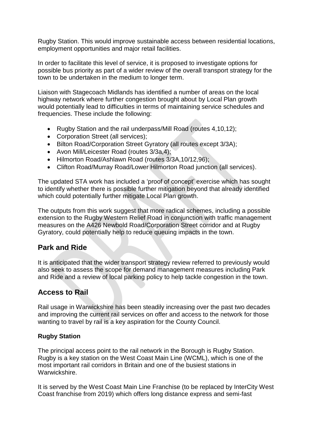Rugby Station. This would improve sustainable access between residential locations, employment opportunities and major retail facilities.

In order to facilitate this level of service, it is proposed to investigate options for possible bus priority as part of a wider review of the overall transport strategy for the town to be undertaken in the medium to longer term.

Liaison with Stagecoach Midlands has identified a number of areas on the local highway network where further congestion brought about by Local Plan growth would potentially lead to difficulties in terms of maintaining service schedules and frequencies. These include the following:

- Rugby Station and the rail underpass/Mill Road (routes 4,10,12);
- Corporation Street (all services):
- Bilton Road/Corporation Street Gyratory (all routes except 3/3A);
- Avon Mill/Leicester Road (routes 3/3a,4);
- Hilmorton Road/Ashlawn Road (routes 3/3A,10/12,96);
- Clifton Road/Murray Road/Lower Hilmorton Road junction (all services).

The updated STA work has included a 'proof of concept' exercise which has sought to identify whether there is possible further mitigation beyond that already identified which could potentially further mitigate Local Plan growth.

The outputs from this work suggest that more radical schemes, including a possible extension to the Rugby Western Relief Road in conjunction with traffic management measures on the A426 Newbold Road/Corporation Street corridor and at Rugby Gyratory, could potentially help to reduce queuing impacts in the town.

### **Park and Ride**

It is anticipated that the wider transport strategy review referred to previously would also seek to assess the scope for demand management measures including Park and Ride and a review of local parking policy to help tackle congestion in the town.

## **Access to Rail**

Rail usage in Warwickshire has been steadily increasing over the past two decades and improving the current rail services on offer and access to the network for those wanting to travel by rail is a key aspiration for the County Council.

#### **Rugby Station**

The principal access point to the rail network in the Borough is Rugby Station. Rugby is a key station on the West Coast Main Line (WCML), which is one of the most important rail corridors in Britain and one of the busiest stations in Warwickshire.

It is served by the West Coast Main Line Franchise (to be replaced by InterCity West Coast franchise from 2019) which offers long distance express and semi-fast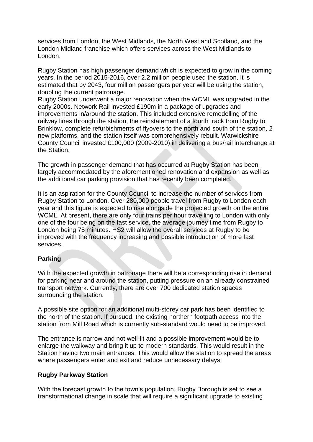services from London, the West Midlands, the North West and Scotland, and the London Midland franchise which offers services across the West Midlands to London.

Rugby Station has high passenger demand which is expected to grow in the coming years. In the period 2015-2016, over 2.2 million people used the station. It is estimated that by 2043, four million passengers per year will be using the station, doubling the current patronage.

Rugby Station underwent a major renovation when the WCML was upgraded in the early 2000s. Network Rail invested £190m in a package of upgrades and improvements in/around the station. This included extensive remodelling of the railway lines through the station, the reinstatement of a fourth track from Rugby to Brinklow, complete refurbishments of flyovers to the north and south of the station, 2 new platforms, and the station itself was comprehensively rebuilt. Warwickshire County Council invested £100,000 (2009-2010) in delivering a bus/rail interchange at the Station.

The growth in passenger demand that has occurred at Rugby Station has been largely accommodated by the aforementioned renovation and expansion as well as the additional car parking provision that has recently been completed.

It is an aspiration for the County Council to increase the number of services from Rugby Station to London. Over 280,000 people travel from Rugby to London each year and this figure is expected to rise alongside the projected growth on the entire WCML. At present, there are only four trains per hour travelling to London with only one of the four being on the fast service, the average journey time from Rugby to London being 75 minutes. HS2 will allow the overall services at Rugby to be improved with the frequency increasing and possible introduction of more fast services.

### **Parking**

With the expected growth in patronage there will be a corresponding rise in demand for parking near and around the station, putting pressure on an already constrained transport network. Currently, there are over 700 dedicated station spaces surrounding the station.

A possible site option for an additional multi-storey car park has been identified to the north of the station. If pursued, the existing northern footpath access into the station from Mill Road which is currently sub-standard would need to be improved.

The entrance is narrow and not well-lit and a possible improvement would be to enlarge the walkway and bring it up to modern standards. This would result in the Station having two main entrances. This would allow the station to spread the areas where passengers enter and exit and reduce unnecessary delays.

#### **Rugby Parkway Station**

With the forecast growth to the town's population, Rugby Borough is set to see a transformational change in scale that will require a significant upgrade to existing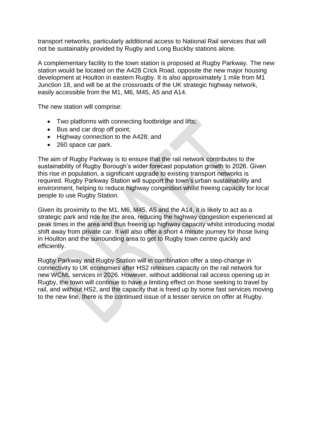transport networks, particularly additional access to National Rail services that will not be sustainably provided by Rugby and Long Buckby stations alone.

A complementary facility to the town station is proposed at Rugby Parkway. The new station would be located on the A428 Crick Road, opposite the new major housing development at Houlton in eastern Rugby. It is also approximately 1 mile from M1 Junction 18, and will be at the crossroads of the UK strategic highway network, easily accessible from the M1, M6, M45, A5 and A14.

The new station will comprise:

- Two platforms with connecting footbridge and lifts;
- Bus and car drop off point;
- Highway connection to the A428; and
- 260 space car park.

The aim of Rugby Parkway is to ensure that the rail network contributes to the sustainability of Rugby Borough's wider forecast population growth to 2026. Given this rise in population, a significant upgrade to existing transport networks is required. Rugby Parkway Station will support the town's urban sustainability and environment, helping to reduce highway congestion whilst freeing capacity for local people to use Rugby Station.

Given its proximity to the M1, M6, M45, A5 and the A14, it is likely to act as a strategic park and ride for the area, reducing the highway congestion experienced at peak times in the area and thus freeing up highway capacity whilst introducing modal shift away from private car. It will also offer a short 4 minute journey for those living in Houlton and the surrounding area to get to Rugby town centre quickly and efficiently.

Rugby Parkway and Rugby Station will in combination offer a step-change in connectivity to UK economies after HS2 releases capacity on the rail network for new WCML services in 2026. However, without additional rail access opening up in Rugby, the town will continue to have a limiting effect on those seeking to travel by rail, and without HS2, and the capacity that is freed up by some fast services moving to the new line, there is the continued issue of a lesser service on offer at Rugby.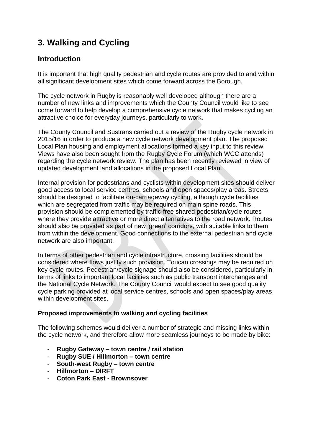## **3. Walking and Cycling**

## **Introduction**

It is important that high quality pedestrian and cycle routes are provided to and within all significant development sites which come forward across the Borough.

The cycle network in Rugby is reasonably well developed although there are a number of new links and improvements which the County Council would like to see come forward to help develop a comprehensive cycle network that makes cycling an attractive choice for everyday journeys, particularly to work.

The County Council and Sustrans carried out a review of the Rugby cycle network in 2015/16 in order to produce a new cycle network development plan. The proposed Local Plan housing and employment allocations formed a key input to this review. Views have also been sought from the Rugby Cycle Forum (which WCC attends) regarding the cycle network review. The plan has been recently reviewed in view of updated development land allocations in the proposed Local Plan.

Internal provision for pedestrians and cyclists within development sites should deliver good access to local service centres, schools and open spaces/play areas. Streets should be designed to facilitate on-carriageway cycling, although cycle facilities which are segregated from traffic may be required on main spine roads. This provision should be complemented by traffic-free shared pedestrian/cycle routes where they provide attractive or more direct alternatives to the road network. Routes should also be provided as part of new 'green' corridors, with suitable links to them from within the development. Good connections to the external pedestrian and cycle network are also important.

In terms of other pedestrian and cycle infrastructure, crossing facilities should be considered where flows justify such provision. Toucan crossings may be required on key cycle routes. Pedestrian/cycle signage should also be considered, particularly in terms of links to important local facilities such as public transport interchanges and the National Cycle Network. The County Council would expect to see good quality cycle parking provided at local service centres, schools and open spaces/play areas within development sites.

### **Proposed improvements to walking and cycling facilities**

The following schemes would deliver a number of strategic and missing links within the cycle network, and therefore allow more seamless journeys to be made by bike:

- **Rugby Gateway – town centre / rail station**
- **Rugby SUE / Hillmorton – town centre**
- **South-west Rugby – town centre**
- **Hillmorton – DIRFT**
- **Coton Park East - Brownsover**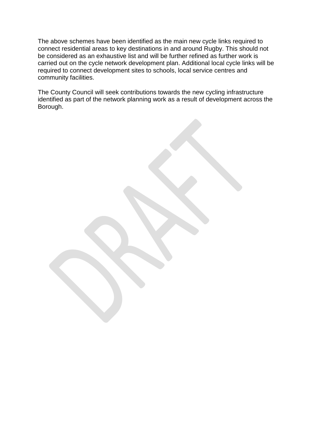The above schemes have been identified as the main new cycle links required to connect residential areas to key destinations in and around Rugby. This should not be considered as an exhaustive list and will be further refined as further work is carried out on the cycle network development plan. Additional local cycle links will be required to connect development sites to schools, local service centres and community facilities.

The County Council will seek contributions towards the new cycling infrastructure identified as part of the network planning work as a result of development across the Borough.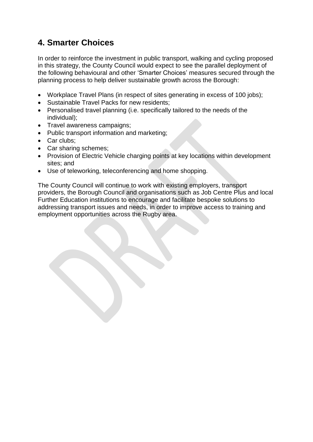## **4. Smarter Choices**

In order to reinforce the investment in public transport, walking and cycling proposed in this strategy, the County Council would expect to see the parallel deployment of the following behavioural and other 'Smarter Choices' measures secured through the planning process to help deliver sustainable growth across the Borough:

- Workplace Travel Plans (in respect of sites generating in excess of 100 jobs);
- Sustainable Travel Packs for new residents;
- Personalised travel planning (i.e. specifically tailored to the needs of the individual);
- Travel awareness campaigns;
- Public transport information and marketing;
- Car clubs;
- Car sharing schemes:
- Provision of Electric Vehicle charging points at key locations within development sites; and
- Use of teleworking, teleconferencing and home shopping.

The County Council will continue to work with existing employers, transport providers, the Borough Council and organisations such as Job Centre Plus and local Further Education institutions to encourage and facilitate bespoke solutions to addressing transport issues and needs, in order to improve access to training and employment opportunities across the Rugby area.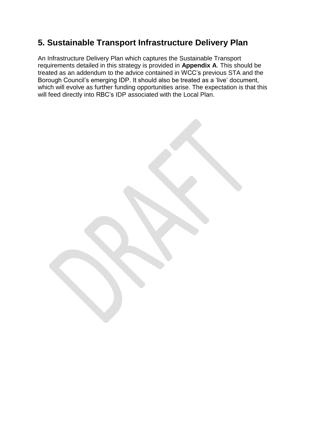## **5. Sustainable Transport Infrastructure Delivery Plan**

An Infrastructure Delivery Plan which captures the Sustainable Transport requirements detailed in this strategy is provided in **Appendix A**. This should be treated as an addendum to the advice contained in WCC's previous STA and the Borough Council's emerging IDP. It should also be treated as a 'live' document, which will evolve as further funding opportunities arise. The expectation is that this will feed directly into RBC's IDP associated with the Local Plan.